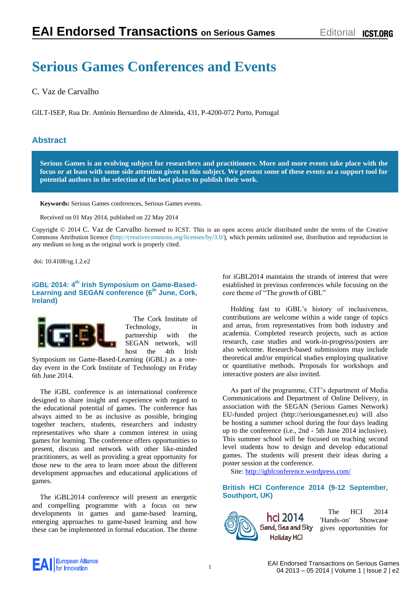# **Serious Games Conferences and Events**

C. Vaz de Carvalho

GILT-ISEP, Rua Dr. António Bernardino de Almeida, 431, P-4200-072 Porto, Portugal

# **Abstract**

**Serious Games is an evolving subject for researchers and practitioners. More and more events take place with the focus or at least with some side attention given to this subject. We present some of these events as a support tool for potential authors in the selection of the best places to publish their work.**

**Keywords:** Serious Games conferences, Serious Games events.

Received on 01 May 2014, published on 22 May 2014

Copyright © 2014 C. Vaz de Carvalho licensed to ICST. This is an open access article distributed under the terms of the Creative Commons Attribution licence [\(http://creativecommons.org/licenses/by/3.0/\)](http://creativecommons.org/licenses/by/3.0/), which permits unlimited use, distribution and reproduction in any medium so long as the original work is properly cited.

doi: 10.4108/sg.1.2.e2

# **iGBL 2014: 4th Irish Symposium on Game-Based-Learning and SEGAN conference (6th June, Cork, Ireland)**



The Cork Institute of Technology, in partnership with the SEGAN network, will host the 4th Irish

Symposium on Game-Based-Learning (iGBL) as a oneday event in the Cork Institute of Technology on Friday 6th June 2014.

The iGBL conference is an international conference designed to share insight and experience with regard to the educational potential of games. The conference has always aimed to be as inclusive as possible, bringing together teachers, students, researchers and industry representatives who share a common interest in using games for learning. The conference offers opportunities to present, discuss and network with other like-minded practitioners, as well as providing a great opportunity for those new to the area to learn more about the different development approaches and educational applications of games.

The iGBL2014 conference will present an energetic and compelling programme with a focus on new developments in games and game-based learning, emerging approaches to game-based learning and how these can be implemented in formal education. The theme for iGBL2014 maintains the strands of interest that were established in previous conferences while focusing on the core theme of "The growth of GBL"

Holding fast to iGBL's history of inclusiveness, contributions are welcome within a wide range of topics and areas, from representatives from both industry and academia. Completed research projects, such as action research, case studies and work-in-progress/posters are also welcome. Research-based submissions may include theoretical and/or empirical studies employing qualitative or quantitative methods. Proposals for workshops and interactive posters are also invited.

As part of the programme, CIT's department of Media Communications and Department of Online Delivery, in association with the SEGAN (Serious Games Network) EU-funded project (http://seriousgamesnet.eu) will also be hosting a summer school during the four days leading up to the conference (i.e., 2nd - 5th June 2014 inclusive). This summer school will be focused on teaching second level students how to design and develop educational games. The students will present their ideas during a poster session at the conference.

Site:<http://igblconference.wordpress.com/>

# **British HCI Conference 2014 (9-12 September, Southport, UK)**



The HCI 2014 'Hands-on' Showcase Sand, Sea and Sky gives opportunities for